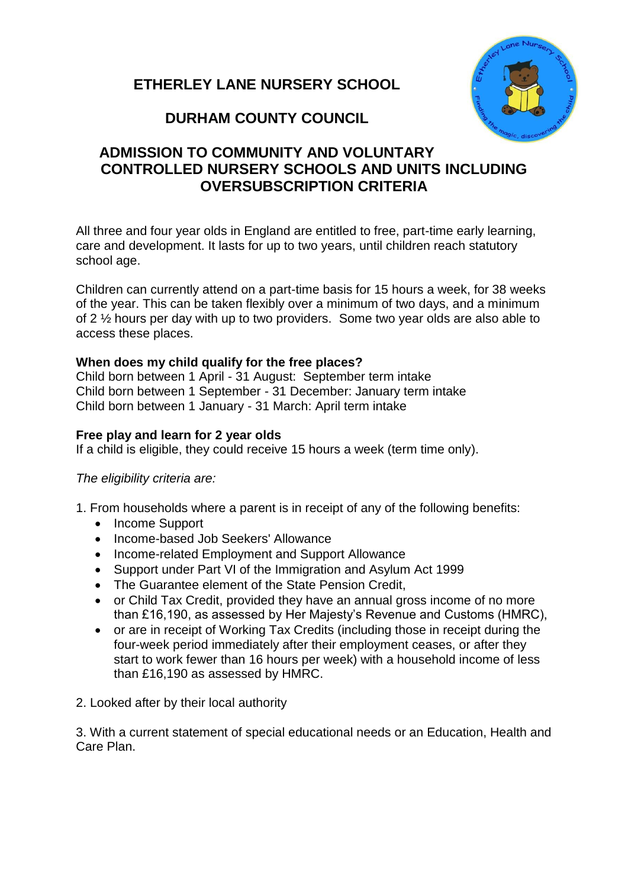# **ETHERLEY LANE NURSERY SCHOOL**



# **DURHAM COUNTY COUNCIL**

## **ADMISSION TO COMMUNITY AND VOLUNTARY CONTROLLED NURSERY SCHOOLS AND UNITS INCLUDING OVERSUBSCRIPTION CRITERIA**

All three and four year olds in England are entitled to free, part-time early learning, care and development. It lasts for up to two years, until children reach statutory school age.

Children can currently attend on a part-time basis for 15 hours a week, for 38 weeks of the year. This can be taken flexibly over a minimum of two days, and a minimum of 2 ½ hours per day with up to two providers. Some two year olds are also able to access these places.

#### **When does my child qualify for the free places?**

Child born between 1 April - 31 August: September term intake Child born between 1 September - 31 December: January term intake Child born between 1 January - 31 March: April term intake

#### **Free play and learn for 2 year olds**

If a child is eligible, they could receive 15 hours a week (term time only).

#### *The eligibility criteria are:*

1. From households where a parent is in receipt of any of the following benefits:

- Income Support
- Income-based Job Seekers' Allowance
- Income-related Employment and Support Allowance
- Support under Part VI of the Immigration and Asylum Act 1999
- The Guarantee element of the State Pension Credit,
- or Child Tax Credit, provided they have an annual gross income of no more than £16,190, as assessed by Her Majesty's Revenue and Customs (HMRC),
- or are in receipt of Working Tax Credits (including those in receipt during the four-week period immediately after their employment ceases, or after they start to work fewer than 16 hours per week) with a household income of less than £16,190 as assessed by HMRC.
- 2. Looked after by their local authority

3. With a current statement of special educational needs or an Education, Health and Care Plan.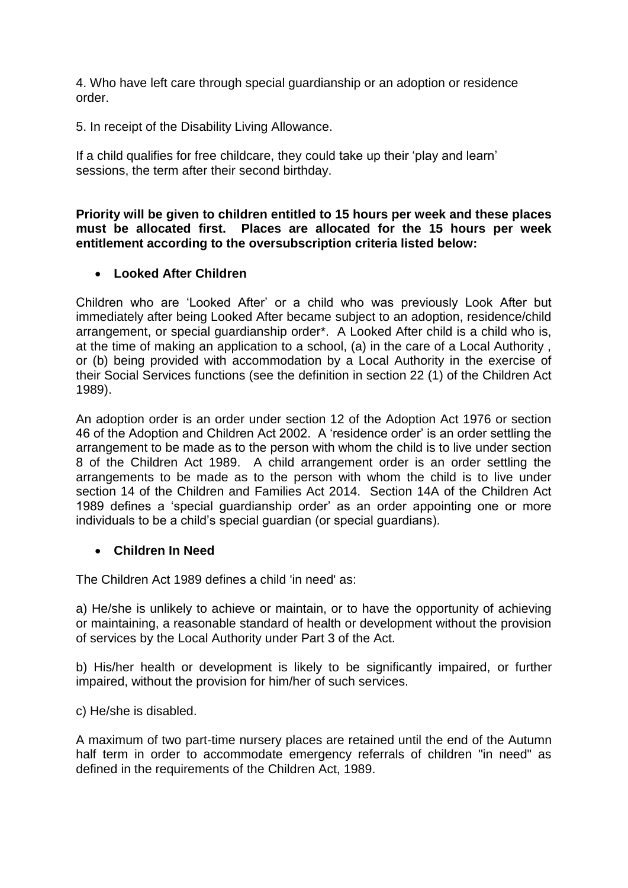4. Who have left care through special guardianship or an adoption or residence order.

5. In receipt of the Disability Living Allowance.

If a child qualifies for free childcare, they could take up their 'play and learn' sessions, the term after their second birthday.

**Priority will be given to children entitled to 15 hours per week and these places must be allocated first. Places are allocated for the 15 hours per week entitlement according to the oversubscription criteria listed below:**

#### **Looked After Children**

Children who are 'Looked After' or a child who was previously Look After but immediately after being Looked After became subject to an adoption, residence/child arrangement, or special guardianship order\*. A Looked After child is a child who is, at the time of making an application to a school, (a) in the care of a Local Authority , or (b) being provided with accommodation by a Local Authority in the exercise of their Social Services functions (see the definition in section 22 (1) of the Children Act 1989).

An adoption order is an order under section 12 of the Adoption Act 1976 or section 46 of the Adoption and Children Act 2002. A 'residence order' is an order settling the arrangement to be made as to the person with whom the child is to live under section 8 of the Children Act 1989. A child arrangement order is an order settling the arrangements to be made as to the person with whom the child is to live under section 14 of the Children and Families Act 2014. Section 14A of the Children Act 1989 defines a 'special guardianship order' as an order appointing one or more individuals to be a child's special guardian (or special guardians).

#### **Children In Need**

The Children Act 1989 defines a child 'in need' as:

a) He/she is unlikely to achieve or maintain, or to have the opportunity of achieving or maintaining, a reasonable standard of health or development without the provision of services by the Local Authority under Part 3 of the Act.

b) His/her health or development is likely to be significantly impaired, or further impaired, without the provision for him/her of such services.

c) He/she is disabled.

A maximum of two part-time nursery places are retained until the end of the Autumn half term in order to accommodate emergency referrals of children "in need" as defined in the requirements of the Children Act, 1989.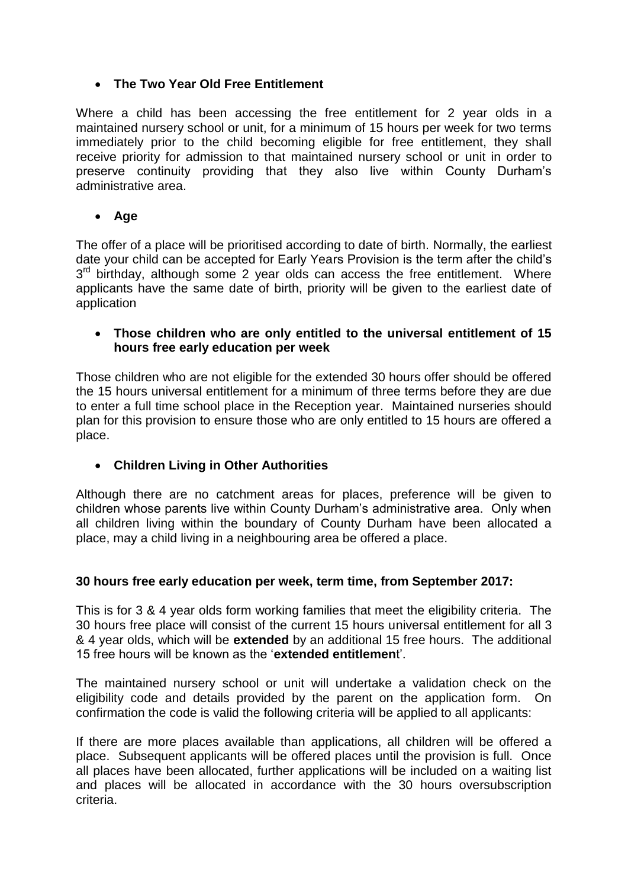## **The Two Year Old Free Entitlement**

Where a child has been accessing the free entitlement for 2 year olds in a maintained nursery school or unit, for a minimum of 15 hours per week for two terms immediately prior to the child becoming eligible for free entitlement, they shall receive priority for admission to that maintained nursery school or unit in order to preserve continuity providing that they also live within County Durham's administrative area.

**Age** 

The offer of a place will be prioritised according to date of birth. Normally, the earliest date your child can be accepted for Early Years Provision is the term after the child's 3<sup>rd</sup> birthday, although some 2 year olds can access the free entitlement. Where applicants have the same date of birth, priority will be given to the earliest date of application

#### **Those children who are only entitled to the universal entitlement of 15 hours free early education per week**

Those children who are not eligible for the extended 30 hours offer should be offered the 15 hours universal entitlement for a minimum of three terms before they are due to enter a full time school place in the Reception year. Maintained nurseries should plan for this provision to ensure those who are only entitled to 15 hours are offered a place.

## **Children Living in Other Authorities**

Although there are no catchment areas for places, preference will be given to children whose parents live within County Durham's administrative area. Only when all children living within the boundary of County Durham have been allocated a place, may a child living in a neighbouring area be offered a place.

### **30 hours free early education per week, term time, from September 2017:**

This is for 3 & 4 year olds form working families that meet the eligibility criteria. The 30 hours free place will consist of the current 15 hours universal entitlement for all 3 & 4 year olds, which will be **extended** by an additional 15 free hours. The additional 15 free hours will be known as the '**extended entitlemen**t'.

The maintained nursery school or unit will undertake a validation check on the eligibility code and details provided by the parent on the application form. On confirmation the code is valid the following criteria will be applied to all applicants:

If there are more places available than applications, all children will be offered a place. Subsequent applicants will be offered places until the provision is full. Once all places have been allocated, further applications will be included on a waiting list and places will be allocated in accordance with the 30 hours oversubscription criteria.